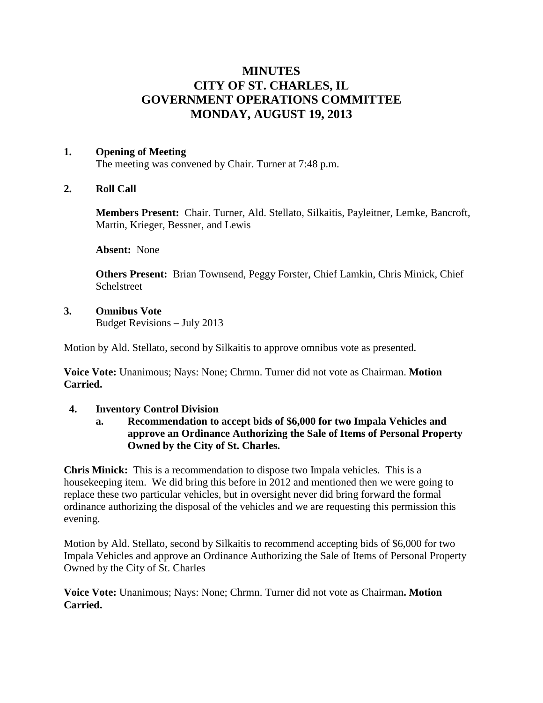# **MINUTES CITY OF ST. CHARLES, IL GOVERNMENT OPERATIONS COMMITTEE MONDAY, AUGUST 19, 2013**

#### **1. Opening of Meeting**

The meeting was convened by Chair. Turner at 7:48 p.m.

## **2. Roll Call**

**Members Present:** Chair. Turner, Ald. Stellato, Silkaitis, Payleitner, Lemke, Bancroft, Martin, Krieger, Bessner, and Lewis

**Absent:** None

**Others Present:** Brian Townsend, Peggy Forster, Chief Lamkin, Chris Minick, Chief Schelstreet

#### **3. Omnibus Vote**

Budget Revisions – July 2013

Motion by Ald. Stellato, second by Silkaitis to approve omnibus vote as presented.

**Voice Vote:** Unanimous; Nays: None; Chrmn. Turner did not vote as Chairman. **Motion Carried.**

#### **4. Inventory Control Division**

**a. Recommendation to accept bids of \$6,000 for two Impala Vehicles and approve an Ordinance Authorizing the Sale of Items of Personal Property Owned by the City of St. Charles.**

**Chris Minick:** This is a recommendation to dispose two Impala vehicles. This is a housekeeping item. We did bring this before in 2012 and mentioned then we were going to replace these two particular vehicles, but in oversight never did bring forward the formal ordinance authorizing the disposal of the vehicles and we are requesting this permission this evening.

Motion by Ald. Stellato, second by Silkaitis to recommend accepting bids of \$6,000 for two Impala Vehicles and approve an Ordinance Authorizing the Sale of Items of Personal Property Owned by the City of St. Charles

**Voice Vote:** Unanimous; Nays: None; Chrmn. Turner did not vote as Chairman**. Motion Carried.**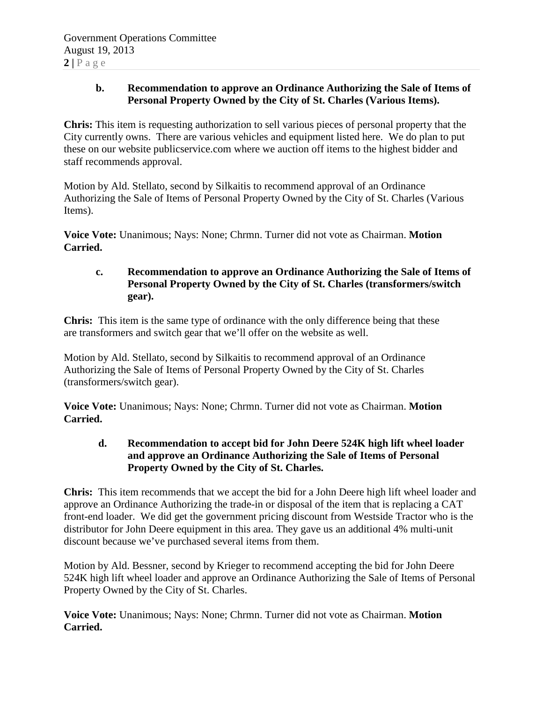## **b. Recommendation to approve an Ordinance Authorizing the Sale of Items of Personal Property Owned by the City of St. Charles (Various Items).**

**Chris:** This item is requesting authorization to sell various pieces of personal property that the City currently owns. There are various vehicles and equipment listed here. We do plan to put these on our website publicservice.com where we auction off items to the highest bidder and staff recommends approval.

Motion by Ald. Stellato, second by Silkaitis to recommend approval of an Ordinance Authorizing the Sale of Items of Personal Property Owned by the City of St. Charles (Various Items).

**Voice Vote:** Unanimous; Nays: None; Chrmn. Turner did not vote as Chairman. **Motion Carried.**

## **c. Recommendation to approve an Ordinance Authorizing the Sale of Items of Personal Property Owned by the City of St. Charles (transformers/switch gear).**

**Chris:** This item is the same type of ordinance with the only difference being that these are transformers and switch gear that we'll offer on the website as well.

Motion by Ald. Stellato, second by Silkaitis to recommend approval of an Ordinance Authorizing the Sale of Items of Personal Property Owned by the City of St. Charles (transformers/switch gear).

**Voice Vote:** Unanimous; Nays: None; Chrmn. Turner did not vote as Chairman. **Motion Carried.**

# **d. Recommendation to accept bid for John Deere 524K high lift wheel loader and approve an Ordinance Authorizing the Sale of Items of Personal Property Owned by the City of St. Charles.**

**Chris:** This item recommends that we accept the bid for a John Deere high lift wheel loader and approve an Ordinance Authorizing the trade-in or disposal of the item that is replacing a CAT front-end loader. We did get the government pricing discount from Westside Tractor who is the distributor for John Deere equipment in this area. They gave us an additional 4% multi-unit discount because we've purchased several items from them.

Motion by Ald. Bessner, second by Krieger to recommend accepting the bid for John Deere 524K high lift wheel loader and approve an Ordinance Authorizing the Sale of Items of Personal Property Owned by the City of St. Charles.

**Voice Vote:** Unanimous; Nays: None; Chrmn. Turner did not vote as Chairman. **Motion Carried.**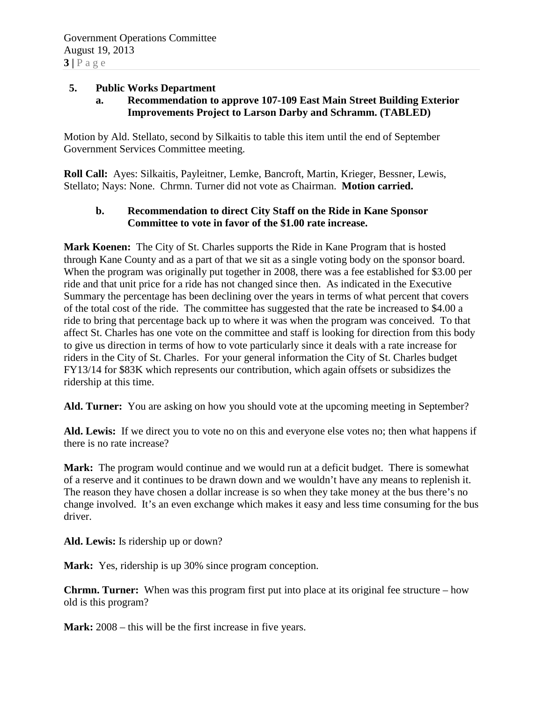#### **5. Public Works Department**

## **a. Recommendation to approve 107-109 East Main Street Building Exterior Improvements Project to Larson Darby and Schramm. (TABLED)**

Motion by Ald. Stellato, second by Silkaitis to table this item until the end of September Government Services Committee meeting.

**Roll Call:** Ayes: Silkaitis, Payleitner, Lemke, Bancroft, Martin, Krieger, Bessner, Lewis, Stellato; Nays: None. Chrmn. Turner did not vote as Chairman. **Motion carried.**

#### **b. Recommendation to direct City Staff on the Ride in Kane Sponsor Committee to vote in favor of the \$1.00 rate increase.**

**Mark Koenen:** The City of St. Charles supports the Ride in Kane Program that is hosted through Kane County and as a part of that we sit as a single voting body on the sponsor board. When the program was originally put together in 2008, there was a fee established for \$3.00 per ride and that unit price for a ride has not changed since then. As indicated in the Executive Summary the percentage has been declining over the years in terms of what percent that covers of the total cost of the ride. The committee has suggested that the rate be increased to \$4.00 a ride to bring that percentage back up to where it was when the program was conceived. To that affect St. Charles has one vote on the committee and staff is looking for direction from this body to give us direction in terms of how to vote particularly since it deals with a rate increase for riders in the City of St. Charles. For your general information the City of St. Charles budget FY13/14 for \$83K which represents our contribution, which again offsets or subsidizes the ridership at this time.

Ald. Turner: You are asking on how you should vote at the upcoming meeting in September?

**Ald. Lewis:** If we direct you to vote no on this and everyone else votes no; then what happens if there is no rate increase?

**Mark:** The program would continue and we would run at a deficit budget. There is somewhat of a reserve and it continues to be drawn down and we wouldn't have any means to replenish it. The reason they have chosen a dollar increase is so when they take money at the bus there's no change involved. It's an even exchange which makes it easy and less time consuming for the bus driver.

**Ald. Lewis:** Is ridership up or down?

**Mark:** Yes, ridership is up 30% since program conception.

**Chrmn. Turner:** When was this program first put into place at its original fee structure – how old is this program?

**Mark:** 2008 – this will be the first increase in five years.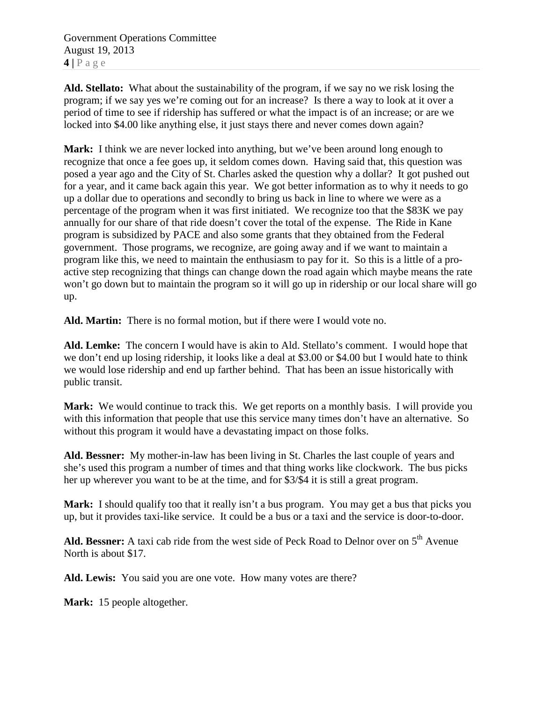Government Operations Committee August 19, 2013 **4 |** Page

**Ald. Stellato:** What about the sustainability of the program, if we say no we risk losing the program; if we say yes we're coming out for an increase? Is there a way to look at it over a period of time to see if ridership has suffered or what the impact is of an increase; or are we locked into \$4.00 like anything else, it just stays there and never comes down again?

**Mark:** I think we are never locked into anything, but we've been around long enough to recognize that once a fee goes up, it seldom comes down. Having said that, this question was posed a year ago and the City of St. Charles asked the question why a dollar? It got pushed out for a year, and it came back again this year. We got better information as to why it needs to go up a dollar due to operations and secondly to bring us back in line to where we were as a percentage of the program when it was first initiated. We recognize too that the \$83K we pay annually for our share of that ride doesn't cover the total of the expense. The Ride in Kane program is subsidized by PACE and also some grants that they obtained from the Federal government. Those programs, we recognize, are going away and if we want to maintain a program like this, we need to maintain the enthusiasm to pay for it. So this is a little of a proactive step recognizing that things can change down the road again which maybe means the rate won't go down but to maintain the program so it will go up in ridership or our local share will go up.

**Ald. Martin:** There is no formal motion, but if there were I would vote no.

**Ald. Lemke:** The concern I would have is akin to Ald. Stellato's comment. I would hope that we don't end up losing ridership, it looks like a deal at \$3.00 or \$4.00 but I would hate to think we would lose ridership and end up farther behind. That has been an issue historically with public transit.

Mark: We would continue to track this. We get reports on a monthly basis. I will provide you with this information that people that use this service many times don't have an alternative. So without this program it would have a devastating impact on those folks.

**Ald. Bessner:** My mother-in-law has been living in St. Charles the last couple of years and she's used this program a number of times and that thing works like clockwork. The bus picks her up wherever you want to be at the time, and for \$3/\$4 it is still a great program.

**Mark:** I should qualify too that it really isn't a bus program. You may get a bus that picks you up, but it provides taxi-like service. It could be a bus or a taxi and the service is door-to-door.

Ald. Bessner: A taxi cab ride from the west side of Peck Road to Delnor over on 5<sup>th</sup> Avenue North is about \$17.

**Ald. Lewis:** You said you are one vote. How many votes are there?

**Mark:** 15 people altogether.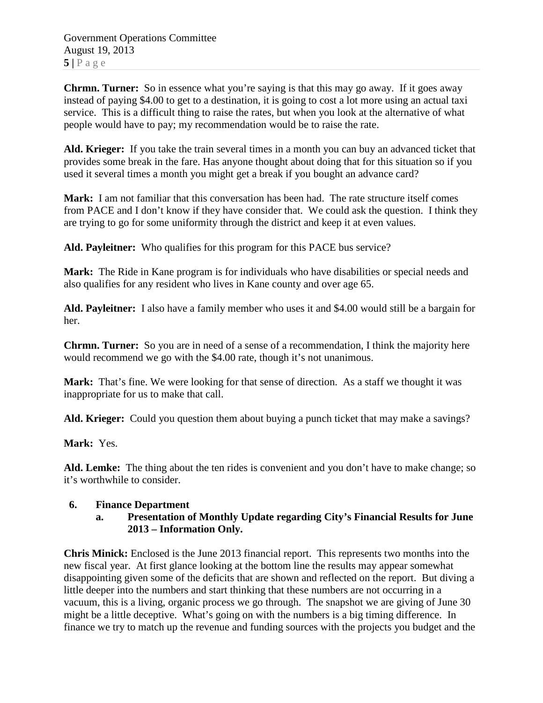Government Operations Committee August 19, 2013  $5|$   $P$  a g e

**Chrmn. Turner:** So in essence what you're saying is that this may go away. If it goes away instead of paying \$4.00 to get to a destination, it is going to cost a lot more using an actual taxi service. This is a difficult thing to raise the rates, but when you look at the alternative of what people would have to pay; my recommendation would be to raise the rate.

**Ald. Krieger:** If you take the train several times in a month you can buy an advanced ticket that provides some break in the fare. Has anyone thought about doing that for this situation so if you used it several times a month you might get a break if you bought an advance card?

**Mark:** I am not familiar that this conversation has been had. The rate structure itself comes from PACE and I don't know if they have consider that. We could ask the question. I think they are trying to go for some uniformity through the district and keep it at even values.

**Ald. Payleitner:** Who qualifies for this program for this PACE bus service?

**Mark:** The Ride in Kane program is for individuals who have disabilities or special needs and also qualifies for any resident who lives in Kane county and over age 65.

**Ald. Payleitner:** I also have a family member who uses it and \$4.00 would still be a bargain for her.

**Chrmn. Turner:** So you are in need of a sense of a recommendation, I think the majority here would recommend we go with the \$4.00 rate, though it's not unanimous.

**Mark:** That's fine. We were looking for that sense of direction. As a staff we thought it was inappropriate for us to make that call.

**Ald. Krieger:** Could you question them about buying a punch ticket that may make a savings?

**Mark:** Yes.

**Ald. Lemke:** The thing about the ten rides is convenient and you don't have to make change; so it's worthwhile to consider.

#### **6. Finance Department**

#### **a. Presentation of Monthly Update regarding City's Financial Results for June 2013 – Information Only.**

**Chris Minick:** Enclosed is the June 2013 financial report. This represents two months into the new fiscal year. At first glance looking at the bottom line the results may appear somewhat disappointing given some of the deficits that are shown and reflected on the report. But diving a little deeper into the numbers and start thinking that these numbers are not occurring in a vacuum, this is a living, organic process we go through. The snapshot we are giving of June 30 might be a little deceptive. What's going on with the numbers is a big timing difference. In finance we try to match up the revenue and funding sources with the projects you budget and the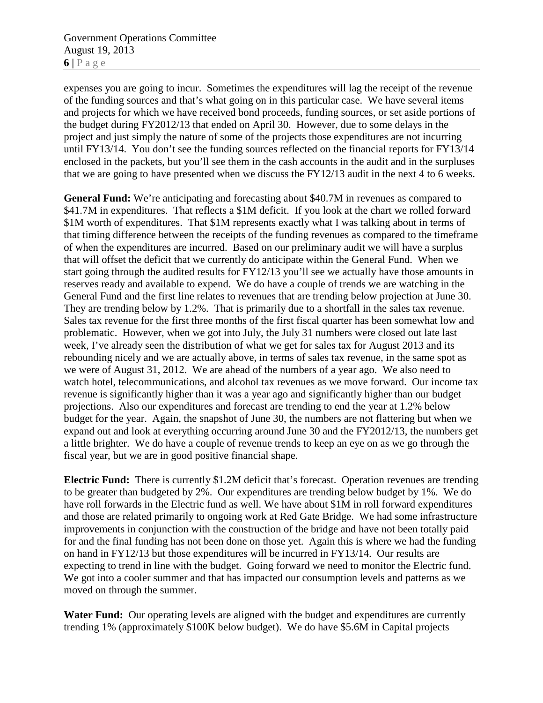Government Operations Committee August 19, 2013  $6$  |  $P$  a g e

expenses you are going to incur. Sometimes the expenditures will lag the receipt of the revenue of the funding sources and that's what going on in this particular case. We have several items and projects for which we have received bond proceeds, funding sources, or set aside portions of the budget during FY2012/13 that ended on April 30. However, due to some delays in the project and just simply the nature of some of the projects those expenditures are not incurring until FY13/14. You don't see the funding sources reflected on the financial reports for FY13/14 enclosed in the packets, but you'll see them in the cash accounts in the audit and in the surpluses that we are going to have presented when we discuss the FY12/13 audit in the next 4 to 6 weeks.

**General Fund:** We're anticipating and forecasting about \$40.7M in revenues as compared to \$41.7M in expenditures. That reflects a \$1M deficit. If you look at the chart we rolled forward \$1M worth of expenditures. That \$1M represents exactly what I was talking about in terms of that timing difference between the receipts of the funding revenues as compared to the timeframe of when the expenditures are incurred. Based on our preliminary audit we will have a surplus that will offset the deficit that we currently do anticipate within the General Fund. When we start going through the audited results for FY12/13 you'll see we actually have those amounts in reserves ready and available to expend. We do have a couple of trends we are watching in the General Fund and the first line relates to revenues that are trending below projection at June 30. They are trending below by 1.2%. That is primarily due to a shortfall in the sales tax revenue. Sales tax revenue for the first three months of the first fiscal quarter has been somewhat low and problematic. However, when we got into July, the July 31 numbers were closed out late last week, I've already seen the distribution of what we get for sales tax for August 2013 and its rebounding nicely and we are actually above, in terms of sales tax revenue, in the same spot as we were of August 31, 2012. We are ahead of the numbers of a year ago. We also need to watch hotel, telecommunications, and alcohol tax revenues as we move forward. Our income tax revenue is significantly higher than it was a year ago and significantly higher than our budget projections. Also our expenditures and forecast are trending to end the year at 1.2% below budget for the year. Again, the snapshot of June 30, the numbers are not flattering but when we expand out and look at everything occurring around June 30 and the FY2012/13, the numbers get a little brighter. We do have a couple of revenue trends to keep an eye on as we go through the fiscal year, but we are in good positive financial shape.

**Electric Fund:** There is currently \$1.2M deficit that's forecast. Operation revenues are trending to be greater than budgeted by 2%. Our expenditures are trending below budget by 1%. We do have roll forwards in the Electric fund as well. We have about \$1M in roll forward expenditures and those are related primarily to ongoing work at Red Gate Bridge. We had some infrastructure improvements in conjunction with the construction of the bridge and have not been totally paid for and the final funding has not been done on those yet. Again this is where we had the funding on hand in FY12/13 but those expenditures will be incurred in FY13/14. Our results are expecting to trend in line with the budget. Going forward we need to monitor the Electric fund. We got into a cooler summer and that has impacted our consumption levels and patterns as we moved on through the summer.

Water Fund: Our operating levels are aligned with the budget and expenditures are currently trending 1% (approximately \$100K below budget). We do have \$5.6M in Capital projects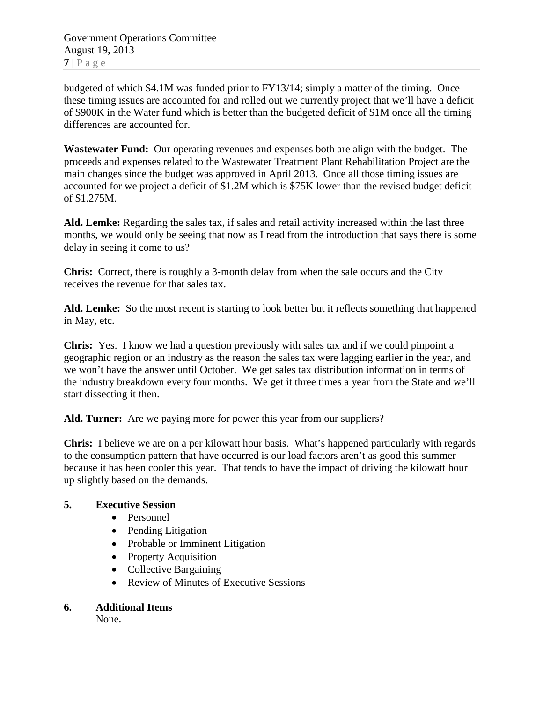Government Operations Committee August 19, 2013  $7$  |  $P$  a g e

budgeted of which \$4.1M was funded prior to FY13/14; simply a matter of the timing. Once these timing issues are accounted for and rolled out we currently project that we'll have a deficit of \$900K in the Water fund which is better than the budgeted deficit of \$1M once all the timing differences are accounted for.

**Wastewater Fund:** Our operating revenues and expenses both are align with the budget. The proceeds and expenses related to the Wastewater Treatment Plant Rehabilitation Project are the main changes since the budget was approved in April 2013. Once all those timing issues are accounted for we project a deficit of \$1.2M which is \$75K lower than the revised budget deficit of \$1.275M.

**Ald. Lemke:** Regarding the sales tax, if sales and retail activity increased within the last three months, we would only be seeing that now as I read from the introduction that says there is some delay in seeing it come to us?

**Chris:** Correct, there is roughly a 3-month delay from when the sale occurs and the City receives the revenue for that sales tax.

**Ald. Lemke:** So the most recent is starting to look better but it reflects something that happened in May, etc.

**Chris:** Yes. I know we had a question previously with sales tax and if we could pinpoint a geographic region or an industry as the reason the sales tax were lagging earlier in the year, and we won't have the answer until October. We get sales tax distribution information in terms of the industry breakdown every four months. We get it three times a year from the State and we'll start dissecting it then.

**Ald. Turner:** Are we paying more for power this year from our suppliers?

**Chris:** I believe we are on a per kilowatt hour basis. What's happened particularly with regards to the consumption pattern that have occurred is our load factors aren't as good this summer because it has been cooler this year. That tends to have the impact of driving the kilowatt hour up slightly based on the demands.

## **5. Executive Session**

- Personnel
- Pending Litigation
- Probable or Imminent Litigation
- Property Acquisition
- Collective Bargaining
- Review of Minutes of Executive Sessions

## **6. Additional Items**

None.